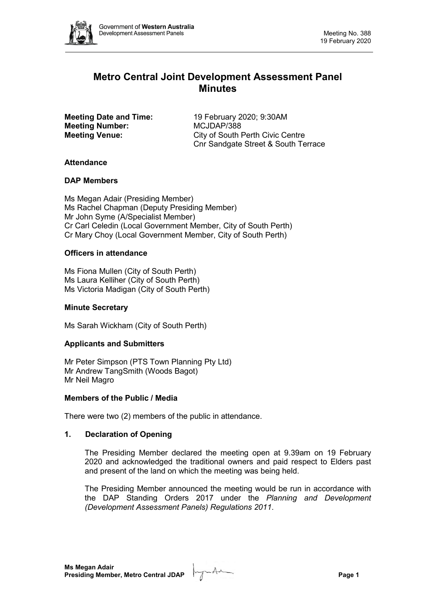

# **Metro Central Joint Development Assessment Panel Minutes**

**Meeting Number:** MCJDAP/388

**Meeting Date and Time:** 19 February 2020; 9:30AM **Meeting Venue:** City of South Perth Civic Centre Cnr Sandgate Street & South Terrace

## **Attendance**

## **DAP Members**

Ms Megan Adair (Presiding Member) Ms Rachel Chapman (Deputy Presiding Member) Mr John Syme (A/Specialist Member) Cr Carl Celedin (Local Government Member, City of South Perth) Cr Mary Choy (Local Government Member, City of South Perth)

## **Officers in attendance**

Ms Fiona Mullen (City of South Perth) Ms Laura Kelliher (City of South Perth) Ms Victoria Madigan (City of South Perth)

## **Minute Secretary**

Ms Sarah Wickham (City of South Perth)

## **Applicants and Submitters**

Mr Peter Simpson (PTS Town Planning Pty Ltd) Mr Andrew TangSmith (Woods Bagot) Mr Neil Magro

## **Members of the Public / Media**

There were two (2) members of the public in attendance.

## **1. Declaration of Opening**

The Presiding Member declared the meeting open at 9.39am on 19 February 2020 and acknowledged the traditional owners and paid respect to Elders past and present of the land on which the meeting was being held.

The Presiding Member announced the meeting would be run in accordance with the DAP Standing Orders 2017 under the *Planning and Development (Development Assessment Panels) Regulations 2011*.

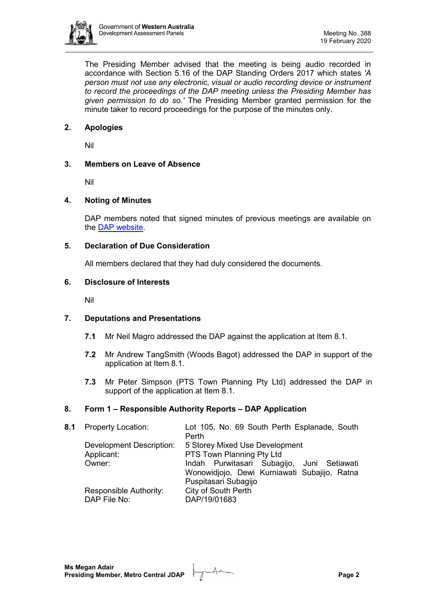

The Presiding Member advised that the meeting is being audio recorded in accordance with Section 5.16 of the DAP Standing Orders 2017 which states *'A person must not use any electronic, visual or audio recording device or instrument to record the proceedings of the DAP meeting unless the Presiding Member has given permission to do so.'* The Presiding Member granted permission for the minute taker to record proceedings for the purpose of the minutes only.

## **2. Apologies**

Nil

## **3. Members on Leave of Absence**

Nil

## **4. Noting of Minutes**

DAP members noted that signed minutes of previous meetings are available on the [DAP website.](https://www.dplh.wa.gov.au/about/development-assessment-panels/daps-agendas-and-minutes)

### **5. Declaration of Due Consideration**

All members declared that they had duly considered the documents.

### **6. Disclosure of Interests**

Nil

## **7. Deputations and Presentations**

- **7.1** Mr Neil Magro addressed the DAP against the application at Item 8.1.
- **7.2** Mr Andrew TangSmith (Woods Bagot) addressed the DAP in support of the application at Item 8.1.
- **7.3** Mr Peter Simpson (PTS Town Planning Pty Ltd) addressed the DAP in support of the application at Item 8.1.

## **8. Form 1 – Responsible Authority Reports – DAP Application**

| 8.1 Property Location:          | Lot 105, No. 69 South Perth Esplanade, South<br>Perth |
|---------------------------------|-------------------------------------------------------|
| <b>Development Description:</b> | 5 Storey Mixed Use Development                        |
| Applicant:                      | PTS Town Planning Pty Ltd                             |
| Owner:                          | Indah Purwitasari Subagijo, Juni Setiawati            |
|                                 | Wonowidjojo, Dewi Kurniawati Subajijo, Ratna          |
|                                 | Puspitasari Subagijo                                  |
| Responsible Authority:          | City of South Perth                                   |
| DAP File No:                    | DAP/19/01683                                          |
|                                 |                                                       |

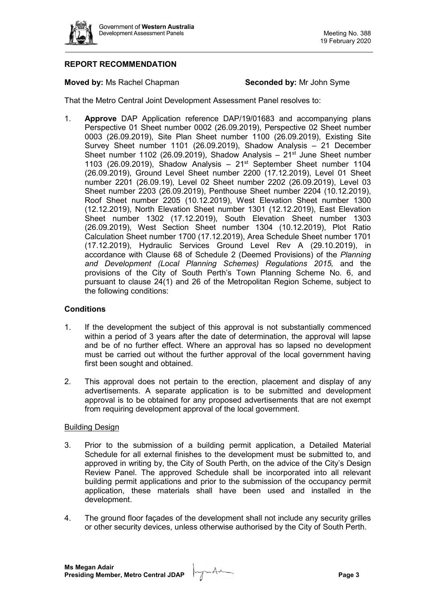

## **REPORT RECOMMENDATION**

### **Moved by:** Ms Rachel Chapman **Seconded by:** Mr John Syme

That the Metro Central Joint Development Assessment Panel resolves to:

1. **Approve** DAP Application reference DAP/19/01683 and accompanying plans Perspective 01 Sheet number 0002 (26.09.2019), Perspective 02 Sheet number 0003 (26.09.2019), Site Plan Sheet number 1100 (26.09.2019), Existing Site Survey Sheet number 1101 (26.09.2019), Shadow Analysis – 21 December Sheet number 1102 (26.09.2019), Shadow Analysis –  $21^{st}$  June Sheet number 1103 (26.09.2019), Shadow Analysis –  $21<sup>st</sup>$  September Sheet number 1104 (26.09.2019), Ground Level Sheet number 2200 (17.12.2019), Level 01 Sheet number 2201 (26.09.19), Level 02 Sheet number 2202 (26.09.2019), Level 03 Sheet number 2203 (26.09.2019), Penthouse Sheet number 2204 (10.12.2019), Roof Sheet number 2205 (10.12.2019), West Elevation Sheet number 1300 (12.12.2019), North Elevation Sheet number 1301 (12.12.2019), East Elevation Sheet number 1302 (17.12.2019), South Elevation Sheet number 1303 (26.09.2019), West Section Sheet number 1304 (10.12.2019), Plot Ratio Calculation Sheet number 1700 (17.12.2019), Area Schedule Sheet number 1701 (17.12.2019), Hydraulic Services Ground Level Rev A (29.10.2019), in accordance with Clause 68 of Schedule 2 (Deemed Provisions) of the *Planning and Development (Local Planning Schemes) Regulations 2015,* and the provisions of the City of South Perth's Town Planning Scheme No. 6, and pursuant to clause 24(1) and 26 of the Metropolitan Region Scheme, subject to the following conditions:

## **Conditions**

- 1. If the development the subject of this approval is not substantially commenced within a period of 3 years after the date of determination, the approval will lapse and be of no further effect. Where an approval has so lapsed no development must be carried out without the further approval of the local government having first been sought and obtained.
- 2. This approval does not pertain to the erection, placement and display of any advertisements. A separate application is to be submitted and development approval is to be obtained for any proposed advertisements that are not exempt from requiring development approval of the local government.

#### Building Design

- 3. Prior to the submission of a building permit application, a Detailed Material Schedule for all external finishes to the development must be submitted to, and approved in writing by, the City of South Perth, on the advice of the City's Design Review Panel. The approved Schedule shall be incorporated into all relevant building permit applications and prior to the submission of the occupancy permit application, these materials shall have been used and installed in the development.
- 4. The ground floor façades of the development shall not include any security grilles or other security devices, unless otherwise authorised by the City of South Perth.

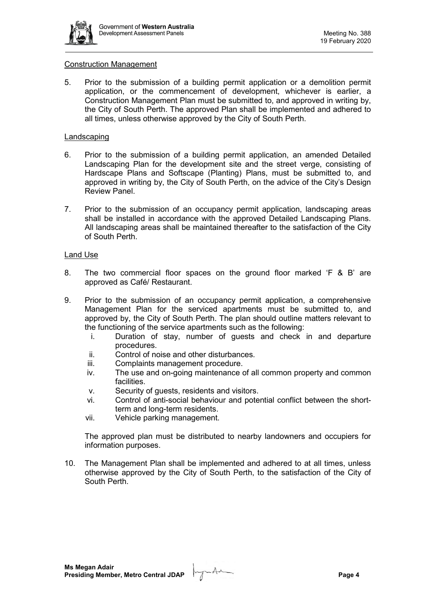

#### Construction Management

5. Prior to the submission of a building permit application or a demolition permit application, or the commencement of development, whichever is earlier, a Construction Management Plan must be submitted to, and approved in writing by, the City of South Perth. The approved Plan shall be implemented and adhered to all times, unless otherwise approved by the City of South Perth.

## Landscaping

- 6. Prior to the submission of a building permit application, an amended Detailed Landscaping Plan for the development site and the street verge, consisting of Hardscape Plans and Softscape (Planting) Plans, must be submitted to, and approved in writing by, the City of South Perth, on the advice of the City's Design Review Panel.
- 7. Prior to the submission of an occupancy permit application, landscaping areas shall be installed in accordance with the approved Detailed Landscaping Plans. All landscaping areas shall be maintained thereafter to the satisfaction of the City of South Perth.

## Land Use

- 8. The two commercial floor spaces on the ground floor marked 'F & B' are approved as Café/ Restaurant.
- 9. Prior to the submission of an occupancy permit application, a comprehensive Management Plan for the serviced apartments must be submitted to, and approved by, the City of South Perth. The plan should outline matters relevant to the functioning of the service apartments such as the following:
	- i. Duration of stay, number of guests and check in and departure procedures.
	- ii. Control of noise and other disturbances.
	- iii. Complaints management procedure.
	- iv. The use and on-going maintenance of all common property and common facilities.
	- v. Security of guests, residents and visitors.
	- vi. Control of anti-social behaviour and potential conflict between the shortterm and long-term residents.
	- vii. Vehicle parking management.

The approved plan must be distributed to nearby landowners and occupiers for information purposes.

10. The Management Plan shall be implemented and adhered to at all times, unless otherwise approved by the City of South Perth, to the satisfaction of the City of South Perth.

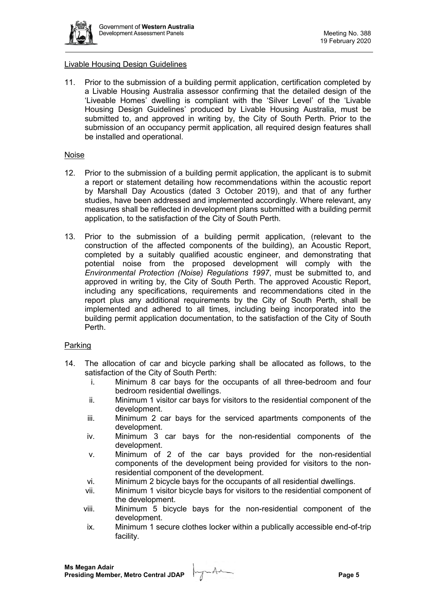

#### Livable Housing Design Guidelines

11. Prior to the submission of a building permit application, certification completed by a Livable Housing Australia assessor confirming that the detailed design of the 'Liveable Homes' dwelling is compliant with the 'Silver Level' of the 'Livable Housing Design Guidelines' produced by Livable Housing Australia, must be submitted to, and approved in writing by, the City of South Perth. Prior to the submission of an occupancy permit application, all required design features shall be installed and operational.

#### Noise

- 12. Prior to the submission of a building permit application, the applicant is to submit a report or statement detailing how recommendations within the acoustic report by Marshall Day Acoustics (dated 3 October 2019), and that of any further studies, have been addressed and implemented accordingly. Where relevant, any measures shall be reflected in development plans submitted with a building permit application, to the satisfaction of the City of South Perth.
- 13. Prior to the submission of a building permit application, (relevant to the construction of the affected components of the building), an Acoustic Report, completed by a suitably qualified acoustic engineer, and demonstrating that potential noise from the proposed development will comply with the *Environmental Protection (Noise) Regulations 1997*, must be submitted to, and approved in writing by, the City of South Perth. The approved Acoustic Report, including any specifications, requirements and recommendations cited in the report plus any additional requirements by the City of South Perth, shall be implemented and adhered to all times, including being incorporated into the building permit application documentation, to the satisfaction of the City of South Perth.

## Parking

- 14. The allocation of car and bicycle parking shall be allocated as follows, to the satisfaction of the City of South Perth:
	- i. Minimum 8 car bays for the occupants of all three-bedroom and four bedroom residential dwellings.
	- ii. Minimum 1 visitor car bays for visitors to the residential component of the development.
	- iii. Minimum 2 car bays for the serviced apartments components of the development.
	- iv. Minimum 3 car bays for the non-residential components of the development.
	- v. Minimum of 2 of the car bays provided for the non-residential components of the development being provided for visitors to the nonresidential component of the development.
	- vi. Minimum 2 bicycle bays for the occupants of all residential dwellings.
	- vii. Minimum 1 visitor bicycle bays for visitors to the residential component of the development.
	- viii. Minimum 5 bicycle bays for the non-residential component of the development.
	- ix. Minimum 1 secure clothes locker within a publically accessible end-of-trip facility.

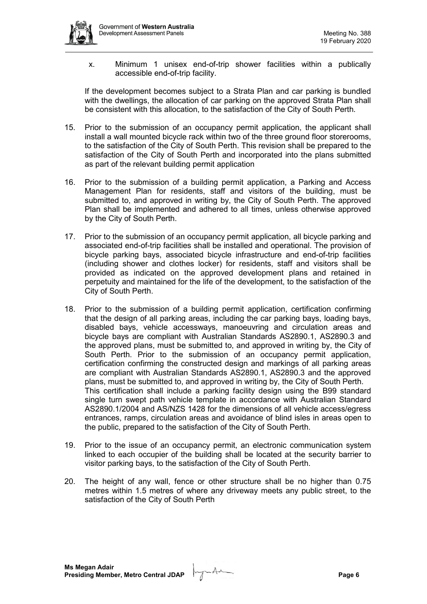

x. Minimum 1 unisex end-of-trip shower facilities within a publically accessible end-of-trip facility.

If the development becomes subject to a Strata Plan and car parking is bundled with the dwellings, the allocation of car parking on the approved Strata Plan shall be consistent with this allocation, to the satisfaction of the City of South Perth.

- 15. Prior to the submission of an occupancy permit application, the applicant shall install a wall mounted bicycle rack within two of the three ground floor storerooms, to the satisfaction of the City of South Perth. This revision shall be prepared to the satisfaction of the City of South Perth and incorporated into the plans submitted as part of the relevant building permit application
- 16. Prior to the submission of a building permit application, a Parking and Access Management Plan for residents, staff and visitors of the building, must be submitted to, and approved in writing by, the City of South Perth. The approved Plan shall be implemented and adhered to all times, unless otherwise approved by the City of South Perth.
- 17. Prior to the submission of an occupancy permit application, all bicycle parking and associated end-of-trip facilities shall be installed and operational. The provision of bicycle parking bays, associated bicycle infrastructure and end-of-trip facilities (including shower and clothes locker) for residents, staff and visitors shall be provided as indicated on the approved development plans and retained in perpetuity and maintained for the life of the development, to the satisfaction of the City of South Perth.
- 18. Prior to the submission of a building permit application, certification confirming that the design of all parking areas, including the car parking bays, loading bays, disabled bays, vehicle accessways, manoeuvring and circulation areas and bicycle bays are compliant with Australian Standards AS2890.1, AS2890.3 and the approved plans, must be submitted to, and approved in writing by, the City of South Perth. Prior to the submission of an occupancy permit application, certification confirming the constructed design and markings of all parking areas are compliant with Australian Standards AS2890.1, AS2890.3 and the approved plans, must be submitted to, and approved in writing by, the City of South Perth. This certification shall include a parking facility design using the B99 standard single turn swept path vehicle template in accordance with Australian Standard AS2890.1/2004 and AS/NZS 1428 for the dimensions of all vehicle access/egress entrances, ramps, circulation areas and avoidance of blind isles in areas open to the public, prepared to the satisfaction of the City of South Perth.
- 19. Prior to the issue of an occupancy permit, an electronic communication system linked to each occupier of the building shall be located at the security barrier to visitor parking bays, to the satisfaction of the City of South Perth.
- 20. The height of any wall, fence or other structure shall be no higher than 0.75 metres within 1.5 metres of where any driveway meets any public street, to the satisfaction of the City of South Perth

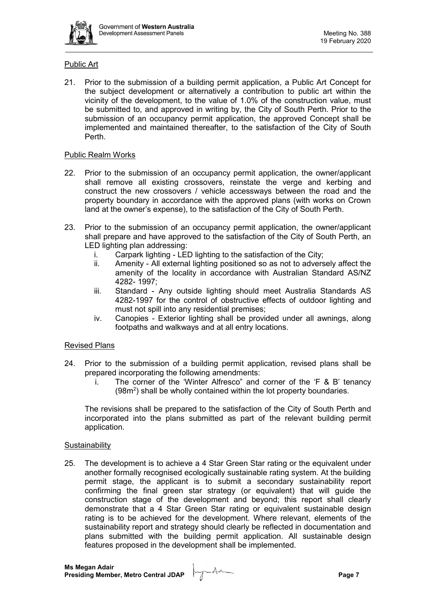

## Public Art

21. Prior to the submission of a building permit application, a Public Art Concept for the subject development or alternatively a contribution to public art within the vicinity of the development, to the value of 1.0% of the construction value, must be submitted to, and approved in writing by, the City of South Perth. Prior to the submission of an occupancy permit application, the approved Concept shall be implemented and maintained thereafter, to the satisfaction of the City of South Perth.

### Public Realm Works

- 22. Prior to the submission of an occupancy permit application, the owner/applicant shall remove all existing crossovers, reinstate the verge and kerbing and construct the new crossovers / vehicle accessways between the road and the property boundary in accordance with the approved plans (with works on Crown land at the owner's expense), to the satisfaction of the City of South Perth.
- 23. Prior to the submission of an occupancy permit application, the owner/applicant shall prepare and have approved to the satisfaction of the City of South Perth, an LED lighting plan addressing:<br>i. Carpark lighting - LEI
	- Carpark lighting LED lighting to the satisfaction of the City;
	- ii. Amenity All external lighting positioned so as not to adversely affect the amenity of the locality in accordance with Australian Standard AS/NZ 4282- 1997;
	- iii. Standard Any outside lighting should meet Australia Standards AS 4282-1997 for the control of obstructive effects of outdoor lighting and must not spill into any residential premises;
	- iv. Canopies Exterior lighting shall be provided under all awnings, along footpaths and walkways and at all entry locations.

## Revised Plans

- 24. Prior to the submission of a building permit application, revised plans shall be prepared incorporating the following amendments:
	- i. The corner of the 'Winter Alfresco" and corner of the 'F & B' tenancy  $(98m<sup>2</sup>)$  shall be wholly contained within the lot property boundaries.

The revisions shall be prepared to the satisfaction of the City of South Perth and incorporated into the plans submitted as part of the relevant building permit application.

#### **Sustainability**

25. The development is to achieve a 4 Star Green Star rating or the equivalent under another formally recognised ecologically sustainable rating system. At the building permit stage, the applicant is to submit a secondary sustainability report confirming the final green star strategy (or equivalent) that will quide the construction stage of the development and beyond; this report shall clearly demonstrate that a 4 Star Green Star rating or equivalent sustainable design rating is to be achieved for the development. Where relevant, elements of the sustainability report and strategy should clearly be reflected in documentation and plans submitted with the building permit application. All sustainable design features proposed in the development shall be implemented.

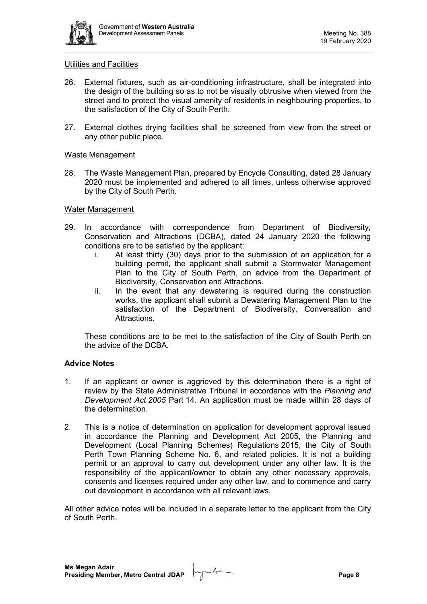

#### Utilities and Facilities

- 26. External fixtures, such as air-conditioning infrastructure, shall be integrated into the design of the building so as to not be visually obtrusive when viewed from the street and to protect the visual amenity of residents in neighbouring properties, to the satisfaction of the City of South Perth.
- 27. External clothes drying facilities shall be screened from view from the street or any other public place.

#### Waste Management

28. The Waste Management Plan, prepared by Encycle Consulting, dated 28 January 2020 must be implemented and adhered to all times, unless otherwise approved by the City of South Perth.

### Water Management

- 29. In accordance with correspondence from Department of Biodiversity, Conservation and Attractions (DCBA), dated 24 January 2020 the following conditions are to be satisfied by the applicant:
	- i. At least thirty (30) days prior to the submission of an application for a building permit, the applicant shall submit a Stormwater Management Plan to the City of South Perth, on advice from the Department of Biodiversity, Conservation and Attractions.
	- ii. In the event that any dewatering is required during the construction works, the applicant shall submit a Dewatering Management Plan to the satisfaction of the Department of Biodiversity, Conversation and Attractions.

These conditions are to be met to the satisfaction of the City of South Perth on the advice of the DCBA.

## **Advice Notes**

- 1. If an applicant or owner is aggrieved by this determination there is a right of review by the State Administrative Tribunal in accordance with the *Planning and Development Act 2005* Part 14. An application must be made within 28 days of the determination.
- 2. This is a notice of determination on application for development approval issued in accordance the Planning and Development Act 2005, the Planning and Development (Local Planning Schemes) Regulations 2015, the City of South Perth Town Planning Scheme No. 6, and related policies. It is not a building permit or an approval to carry out development under any other law. It is the responsibility of the applicant/owner to obtain any other necessary approvals, consents and licenses required under any other law, and to commence and carry out development in accordance with all relevant laws.

All other advice notes will be included in a separate letter to the applicant from the City of South Perth.

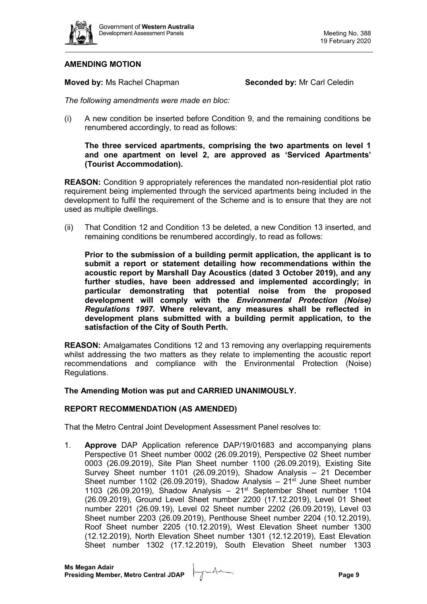

## **AMENDING MOTION**

**Moved by: Ms Rachel Chapman <b>Seconded by:** Mr Carl Celedin

*The following amendments were made en bloc:* 

(i) A new condition be inserted before Condition 9, and the remaining conditions be renumbered accordingly, to read as follows:

## **The three serviced apartments, comprising the two apartments on level 1 and one apartment on level 2, are approved as 'Serviced Apartments' (Tourist Accommodation).**

**REASON:** Condition 9 appropriately references the mandated non-residential plot ratio requirement being implemented through the serviced apartments being included in the development to fulfil the requirement of the Scheme and is to ensure that they are not used as multiple dwellings.

(ii) That Condition 12 and Condition 13 be deleted, a new Condition 13 inserted, and remaining conditions be renumbered accordingly, to read as follows:

**Prior to the submission of a building permit application, the applicant is to submit a report or statement detailing how recommendations within the acoustic report by Marshall Day Acoustics (dated 3 October 2019), and any further studies, have been addressed and implemented accordingly; in particular demonstrating that potential noise from the proposed development will comply with the** *Environmental Protection (Noise) Regulations 1997***. Where relevant, any measures shall be reflected in development plans submitted with a building permit application, to the satisfaction of the City of South Perth.**

**REASON:** Amalgamates Conditions 12 and 13 removing any overlapping requirements whilst addressing the two matters as they relate to implementing the acoustic report recommendations and compliance with the Environmental Protection (Noise) Regulations.

## **The Amending Motion was put and CARRIED UNANIMOUSLY.**

#### **REPORT RECOMMENDATION (AS AMENDED)**

That the Metro Central Joint Development Assessment Panel resolves to:

1. **Approve** DAP Application reference DAP/19/01683 and accompanying plans Perspective 01 Sheet number 0002 (26.09.2019), Perspective 02 Sheet number 0003 (26.09.2019), Site Plan Sheet number 1100 (26.09.2019), Existing Site Survey Sheet number 1101 (26.09.2019), Shadow Analysis – 21 December Sheet number 1102 (26.09.2019), Shadow Analysis  $-21<sup>st</sup>$  June Sheet number 1103 (26.09.2019), Shadow Analysis –  $21<sup>st</sup>$  September Sheet number 1104 (26.09.2019), Ground Level Sheet number 2200 (17.12.2019), Level 01 Sheet number 2201 (26.09.19), Level 02 Sheet number 2202 (26.09.2019), Level 03 Sheet number 2203 (26.09.2019), Penthouse Sheet number 2204 (10.12.2019), Roof Sheet number 2205 (10.12.2019), West Elevation Sheet number 1300 (12.12.2019), North Elevation Sheet number 1301 (12.12.2019), East Elevation Sheet number 1302 (17.12.2019), South Elevation Sheet number 1303

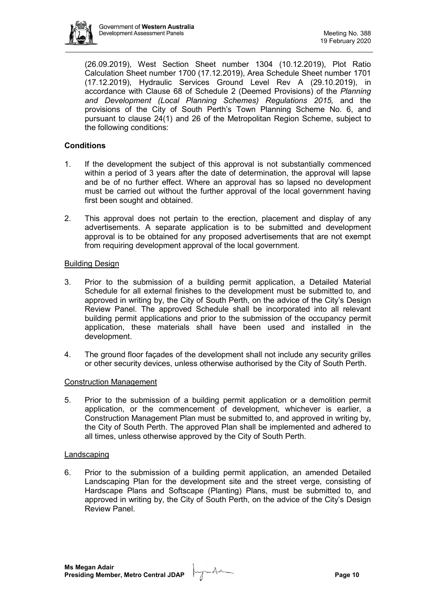

(26.09.2019), West Section Sheet number 1304 (10.12.2019), Plot Ratio Calculation Sheet number 1700 (17.12.2019), Area Schedule Sheet number 1701 (17.12.2019), Hydraulic Services Ground Level Rev A (29.10.2019), in accordance with Clause 68 of Schedule 2 (Deemed Provisions) of the *Planning and Development (Local Planning Schemes) Regulations 2015,* and the provisions of the City of South Perth's Town Planning Scheme No. 6, and pursuant to clause 24(1) and 26 of the Metropolitan Region Scheme, subject to the following conditions:

## **Conditions**

- 1. If the development the subject of this approval is not substantially commenced within a period of 3 years after the date of determination, the approval will lapse and be of no further effect. Where an approval has so lapsed no development must be carried out without the further approval of the local government having first been sought and obtained.
- 2. This approval does not pertain to the erection, placement and display of any advertisements. A separate application is to be submitted and development approval is to be obtained for any proposed advertisements that are not exempt from requiring development approval of the local government.

## Building Design

- 3. Prior to the submission of a building permit application, a Detailed Material Schedule for all external finishes to the development must be submitted to, and approved in writing by, the City of South Perth, on the advice of the City's Design Review Panel. The approved Schedule shall be incorporated into all relevant building permit applications and prior to the submission of the occupancy permit application, these materials shall have been used and installed in the development.
- 4. The ground floor façades of the development shall not include any security grilles or other security devices, unless otherwise authorised by the City of South Perth.

#### Construction Management

5. Prior to the submission of a building permit application or a demolition permit application, or the commencement of development, whichever is earlier, a Construction Management Plan must be submitted to, and approved in writing by, the City of South Perth. The approved Plan shall be implemented and adhered to all times, unless otherwise approved by the City of South Perth.

#### Landscaping

6. Prior to the submission of a building permit application, an amended Detailed Landscaping Plan for the development site and the street verge, consisting of Hardscape Plans and Softscape (Planting) Plans, must be submitted to, and approved in writing by, the City of South Perth, on the advice of the City's Design Review Panel.

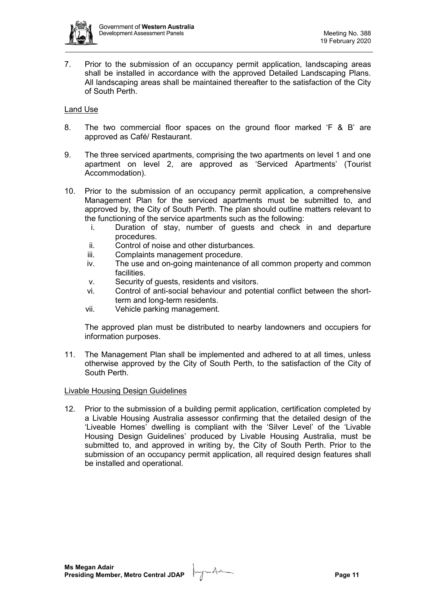

7. Prior to the submission of an occupancy permit application, landscaping areas shall be installed in accordance with the approved Detailed Landscaping Plans. All landscaping areas shall be maintained thereafter to the satisfaction of the City of South Perth.

## Land Use

- 8. The two commercial floor spaces on the ground floor marked 'F & B' are approved as Café/ Restaurant.
- 9. The three serviced apartments, comprising the two apartments on level 1 and one apartment on level 2, are approved as 'Serviced Apartments' (Tourist Accommodation).
- 10. Prior to the submission of an occupancy permit application, a comprehensive Management Plan for the serviced apartments must be submitted to, and approved by, the City of South Perth. The plan should outline matters relevant to the functioning of the service apartments such as the following:
	- i. Duration of stay, number of guests and check in and departure procedures.
	- ii. Control of noise and other disturbances.
	- iii. Complaints management procedure.
	- iv. The use and on-going maintenance of all common property and common facilities.
	- v. Security of guests, residents and visitors.
	- vi. Control of anti-social behaviour and potential conflict between the shortterm and long-term residents.
	- vii. Vehicle parking management.

The approved plan must be distributed to nearby landowners and occupiers for information purposes.

11. The Management Plan shall be implemented and adhered to at all times, unless otherwise approved by the City of South Perth, to the satisfaction of the City of South Perth.

#### Livable Housing Design Guidelines

12. Prior to the submission of a building permit application, certification completed by a Livable Housing Australia assessor confirming that the detailed design of the 'Liveable Homes' dwelling is compliant with the 'Silver Level' of the 'Livable Housing Design Guidelines' produced by Livable Housing Australia, must be submitted to, and approved in writing by, the City of South Perth. Prior to the submission of an occupancy permit application, all required design features shall be installed and operational.

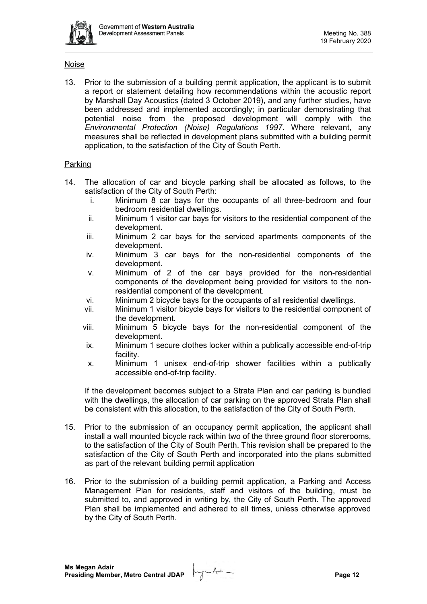

### Noise

13. Prior to the submission of a building permit application, the applicant is to submit a report or statement detailing how recommendations within the acoustic report by Marshall Day Acoustics (dated 3 October 2019), and any further studies, have been addressed and implemented accordingly; in particular demonstrating that potential noise from the proposed development will comply with the *Environmental Protection (Noise) Regulations 1997*. Where relevant, any measures shall be reflected in development plans submitted with a building permit application, to the satisfaction of the City of South Perth.

### **Parking**

- 14. The allocation of car and bicycle parking shall be allocated as follows, to the satisfaction of the City of South Perth:
	- i. Minimum 8 car bays for the occupants of all three-bedroom and four bedroom residential dwellings.
	- ii. Minimum 1 visitor car bays for visitors to the residential component of the development.
	- iii. Minimum 2 car bays for the serviced apartments components of the development.
	- iv. Minimum 3 car bays for the non-residential components of the development.
	- v. Minimum of 2 of the car bays provided for the non-residential components of the development being provided for visitors to the nonresidential component of the development.
	- vi. Minimum 2 bicycle bays for the occupants of all residential dwellings.
	- vii. Minimum 1 visitor bicycle bays for visitors to the residential component of the development.
	- viii. Minimum 5 bicycle bays for the non-residential component of the development.
	- ix. Minimum 1 secure clothes locker within a publically accessible end-of-trip facility.
	- x. Minimum 1 unisex end-of-trip shower facilities within a publically accessible end-of-trip facility.

If the development becomes subject to a Strata Plan and car parking is bundled with the dwellings, the allocation of car parking on the approved Strata Plan shall be consistent with this allocation, to the satisfaction of the City of South Perth.

- 15. Prior to the submission of an occupancy permit application, the applicant shall install a wall mounted bicycle rack within two of the three ground floor storerooms, to the satisfaction of the City of South Perth. This revision shall be prepared to the satisfaction of the City of South Perth and incorporated into the plans submitted as part of the relevant building permit application
- 16. Prior to the submission of a building permit application, a Parking and Access Management Plan for residents, staff and visitors of the building, must be submitted to, and approved in writing by, the City of South Perth. The approved Plan shall be implemented and adhered to all times, unless otherwise approved by the City of South Perth.

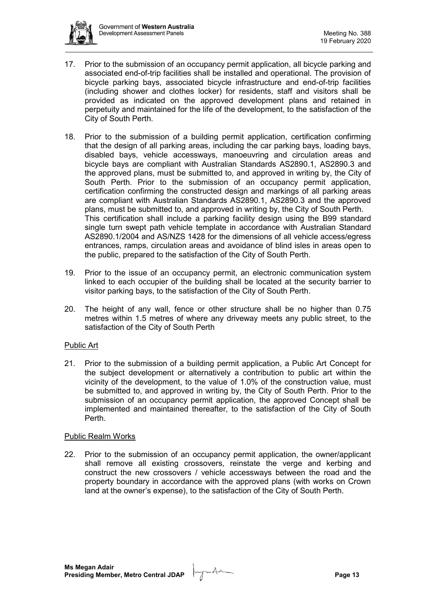

- 17. Prior to the submission of an occupancy permit application, all bicycle parking and associated end-of-trip facilities shall be installed and operational. The provision of bicycle parking bays, associated bicycle infrastructure and end-of-trip facilities (including shower and clothes locker) for residents, staff and visitors shall be provided as indicated on the approved development plans and retained in perpetuity and maintained for the life of the development, to the satisfaction of the City of South Perth.
- 18. Prior to the submission of a building permit application, certification confirming that the design of all parking areas, including the car parking bays, loading bays, disabled bays, vehicle accessways, manoeuvring and circulation areas and bicycle bays are compliant with Australian Standards AS2890.1, AS2890.3 and the approved plans, must be submitted to, and approved in writing by, the City of South Perth. Prior to the submission of an occupancy permit application, certification confirming the constructed design and markings of all parking areas are compliant with Australian Standards AS2890.1, AS2890.3 and the approved plans, must be submitted to, and approved in writing by, the City of South Perth. This certification shall include a parking facility design using the B99 standard single turn swept path vehicle template in accordance with Australian Standard AS2890.1/2004 and AS/NZS 1428 for the dimensions of all vehicle access/egress entrances, ramps, circulation areas and avoidance of blind isles in areas open to the public, prepared to the satisfaction of the City of South Perth.
- 19. Prior to the issue of an occupancy permit, an electronic communication system linked to each occupier of the building shall be located at the security barrier to visitor parking bays, to the satisfaction of the City of South Perth.
- 20. The height of any wall, fence or other structure shall be no higher than 0.75 metres within 1.5 metres of where any driveway meets any public street, to the satisfaction of the City of South Perth

## Public Art

21. Prior to the submission of a building permit application, a Public Art Concept for the subject development or alternatively a contribution to public art within the vicinity of the development, to the value of 1.0% of the construction value, must be submitted to, and approved in writing by, the City of South Perth. Prior to the submission of an occupancy permit application, the approved Concept shall be implemented and maintained thereafter, to the satisfaction of the City of South Perth.

## Public Realm Works

22. Prior to the submission of an occupancy permit application, the owner/applicant shall remove all existing crossovers, reinstate the verge and kerbing and construct the new crossovers / vehicle accessways between the road and the property boundary in accordance with the approved plans (with works on Crown land at the owner's expense), to the satisfaction of the City of South Perth.

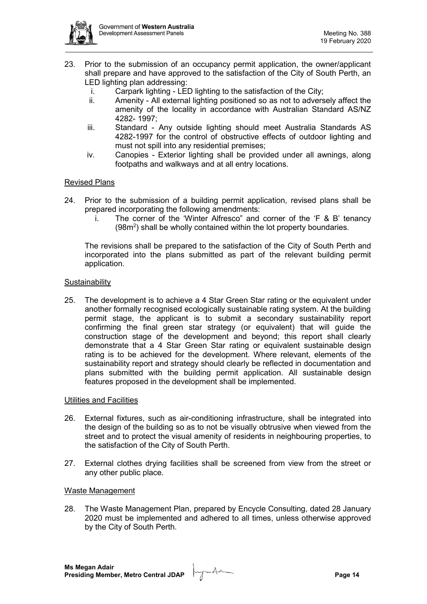

- 23. Prior to the submission of an occupancy permit application, the owner/applicant shall prepare and have approved to the satisfaction of the City of South Perth, an LED lighting plan addressing:
	- i. Carpark lighting LED lighting to the satisfaction of the City;
	- ii. Amenity All external lighting positioned so as not to adversely affect the amenity of the locality in accordance with Australian Standard AS/NZ 4282- 1997;
	- iii. Standard Any outside lighting should meet Australia Standards AS 4282-1997 for the control of obstructive effects of outdoor lighting and must not spill into any residential premises;
	- iv. Canopies Exterior lighting shall be provided under all awnings, along footpaths and walkways and at all entry locations.

### Revised Plans

- 24. Prior to the submission of a building permit application, revised plans shall be prepared incorporating the following amendments:
	- i. The corner of the 'Winter Alfresco" and corner of the 'F & B' tenancy (98m<sup>2</sup>) shall be wholly contained within the lot property boundaries.

The revisions shall be prepared to the satisfaction of the City of South Perth and incorporated into the plans submitted as part of the relevant building permit application.

#### **Sustainability**

25. The development is to achieve a 4 Star Green Star rating or the equivalent under another formally recognised ecologically sustainable rating system. At the building permit stage, the applicant is to submit a secondary sustainability report confirming the final green star strategy (or equivalent) that will guide the construction stage of the development and beyond; this report shall clearly demonstrate that a 4 Star Green Star rating or equivalent sustainable design rating is to be achieved for the development. Where relevant, elements of the sustainability report and strategy should clearly be reflected in documentation and plans submitted with the building permit application. All sustainable design features proposed in the development shall be implemented.

## Utilities and Facilities

- 26. External fixtures, such as air-conditioning infrastructure, shall be integrated into the design of the building so as to not be visually obtrusive when viewed from the street and to protect the visual amenity of residents in neighbouring properties, to the satisfaction of the City of South Perth.
- 27. External clothes drying facilities shall be screened from view from the street or any other public place.

#### Waste Management

28. The Waste Management Plan, prepared by Encycle Consulting, dated 28 January 2020 must be implemented and adhered to all times, unless otherwise approved by the City of South Perth.

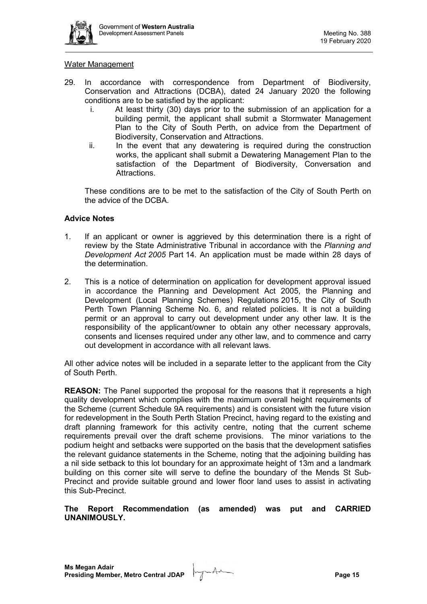

#### Water Management

- 29. In accordance with correspondence from Department of Biodiversity, Conservation and Attractions (DCBA), dated 24 January 2020 the following conditions are to be satisfied by the applicant:
	- i. At least thirty (30) days prior to the submission of an application for a building permit, the applicant shall submit a Stormwater Management Plan to the City of South Perth, on advice from the Department of Biodiversity, Conservation and Attractions.
	- ii. In the event that any dewatering is required during the construction works, the applicant shall submit a Dewatering Management Plan to the satisfaction of the Department of Biodiversity, Conversation and Attractions.

These conditions are to be met to the satisfaction of the City of South Perth on the advice of the DCBA.

#### **Advice Notes**

- 1. If an applicant or owner is aggrieved by this determination there is a right of review by the State Administrative Tribunal in accordance with the *Planning and Development Act 2005* Part 14. An application must be made within 28 days of the determination.
- 2. This is a notice of determination on application for development approval issued in accordance the Planning and Development Act 2005, the Planning and Development (Local Planning Schemes) Regulations 2015, the City of South Perth Town Planning Scheme No. 6, and related policies. It is not a building permit or an approval to carry out development under any other law. It is the responsibility of the applicant/owner to obtain any other necessary approvals, consents and licenses required under any other law, and to commence and carry out development in accordance with all relevant laws.

All other advice notes will be included in a separate letter to the applicant from the City of South Perth.

**REASON:** The Panel supported the proposal for the reasons that it represents a high quality development which complies with the maximum overall height requirements of the Scheme (current Schedule 9A requirements) and is consistent with the future vision for redevelopment in the South Perth Station Precinct, having regard to the existing and draft planning framework for this activity centre, noting that the current scheme requirements prevail over the draft scheme provisions. The minor variations to the podium height and setbacks were supported on the basis that the development satisfies the relevant guidance statements in the Scheme, noting that the adjoining building has a nil side setback to this lot boundary for an approximate height of 13m and a landmark building on this corner site will serve to define the boundary of the Mends St Sub-Precinct and provide suitable ground and lower floor land uses to assist in activating this Sub-Precinct.

**The Report Recommendation (as amended) was put and CARRIED UNANIMOUSLY.**